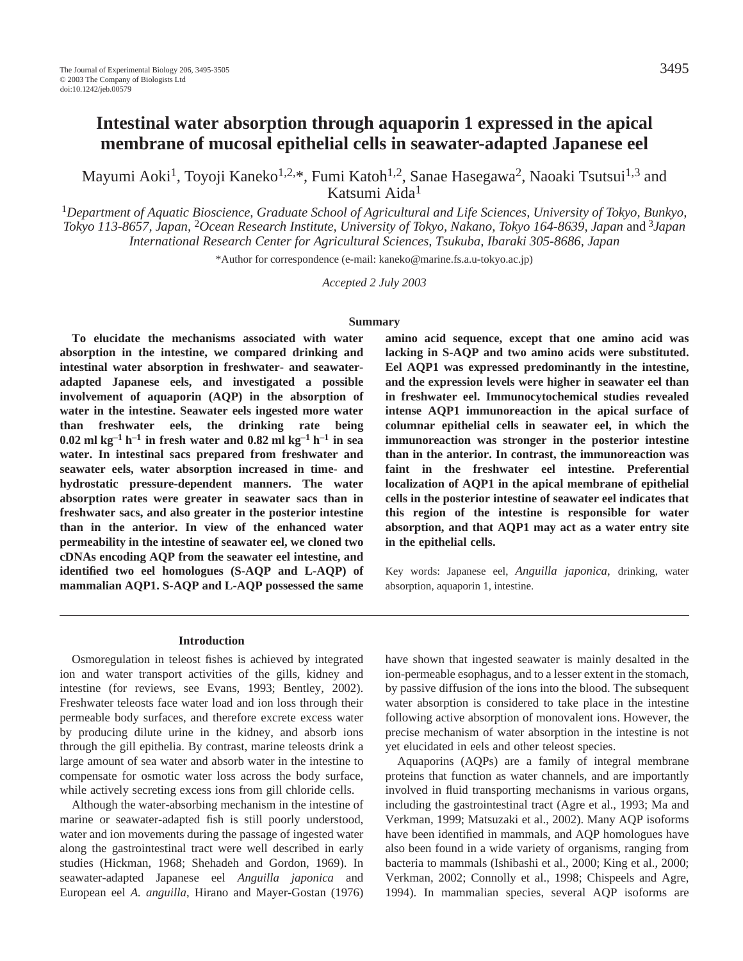Mayumi Aoki<sup>1</sup>, Toyoji Kaneko<sup>1,2,\*</sup>, Fumi Katoh<sup>1,2</sup>, Sanae Hasegawa<sup>2</sup>, Naoaki Tsutsui<sup>1,3</sup> and Katsumi Aida1

<sup>1</sup>*Department of Aquatic Bioscience, Graduate School of Agricultural and Life Sciences, University of Tokyo, Bunkyo, Tokyo 113-8657, Japan,* 2*Ocean Research Institute, University of Tokyo, Nakano, Tokyo 164-8639, Japan* and <sup>3</sup>*Japan International Research Center for Agricultural Sciences, Tsukuba, Ibaraki 305-8686, Japan* 

\*Author for correspondence (e-mail: kaneko@marine.fs.a.u-tokyo.ac.jp)

*Accepted 2 July 2003*

#### **Summary**

**To elucidate the mechanisms associated with water absorption in the intestine, we compared drinking and intestinal water absorption in freshwater- and seawateradapted Japanese eels, and investigated a possible involvement of aquaporin (AQP) in the absorption of water in the intestine. Seawater eels ingested more water than freshwater eels, the drinking rate being**  $0.02$  ml kg<sup>-1</sup> h<sup>-1</sup> in fresh water and  $0.82$  ml kg<sup>-1</sup> h<sup>-1</sup> in sea **water. In intestinal sacs prepared from freshwater and seawater eels, water absorption increased in time- and hydrostatic pressure-dependent manners. The water absorption rates were greater in seawater sacs than in freshwater sacs, and also greater in the posterior intestine than in the anterior. In view of the enhanced water permeability in the intestine of seawater eel, we cloned two cDNAs encoding AQP from the seawater eel intestine, and identified two eel homologues (S-AQP and L-AQP) of mammalian AQP1. S-AQP and L-AQP possessed the same**

**amino acid sequence, except that one amino acid was lacking in S-AQP and two amino acids were substituted. Eel AQP1 was expressed predominantly in the intestine, and the expression levels were higher in seawater eel than in freshwater eel. Immunocytochemical studies revealed intense AQP1 immunoreaction in the apical surface of columnar epithelial cells in seawater eel, in which the immunoreaction was stronger in the posterior intestine than in the anterior. In contrast, the immunoreaction was faint in the freshwater eel intestine. Preferential localization of AQP1 in the apical membrane of epithelial cells in the posterior intestine of seawater eel indicates that this region of the intestine is responsible for water absorption, and that AQP1 may act as a water entry site in the epithelial cells.**

Key words: Japanese eel, *Anguilla japonica*, drinking, water absorption, aquaporin 1, intestine.

#### **Introduction**

Osmoregulation in teleost fishes is achieved by integrated ion and water transport activities of the gills, kidney and intestine (for reviews, see Evans, 1993; Bentley, 2002). Freshwater teleosts face water load and ion loss through their permeable body surfaces, and therefore excrete excess water by producing dilute urine in the kidney, and absorb ions through the gill epithelia. By contrast, marine teleosts drink a large amount of sea water and absorb water in the intestine to compensate for osmotic water loss across the body surface, while actively secreting excess ions from gill chloride cells.

Although the water-absorbing mechanism in the intestine of marine or seawater-adapted fish is still poorly understood, water and ion movements during the passage of ingested water along the gastrointestinal tract were well described in early studies (Hickman, 1968; Shehadeh and Gordon, 1969). In seawater-adapted Japanese eel *Anguilla japonica* and European eel *A. anguilla*, Hirano and Mayer-Gostan (1976)

have shown that ingested seawater is mainly desalted in the ion-permeable esophagus, and to a lesser extent in the stomach, by passive diffusion of the ions into the blood. The subsequent water absorption is considered to take place in the intestine following active absorption of monovalent ions. However, the precise mechanism of water absorption in the intestine is not yet elucidated in eels and other teleost species.

Aquaporins (AQPs) are a family of integral membrane proteins that function as water channels, and are importantly involved in fluid transporting mechanisms in various organs, including the gastrointestinal tract (Agre et al., 1993; Ma and Verkman, 1999; Matsuzaki et al., 2002). Many AQP isoforms have been identified in mammals, and AQP homologues have also been found in a wide variety of organisms, ranging from bacteria to mammals (Ishibashi et al., 2000; King et al., 2000; Verkman, 2002; Connolly et al., 1998; Chispeels and Agre, 1994). In mammalian species, several AQP isoforms are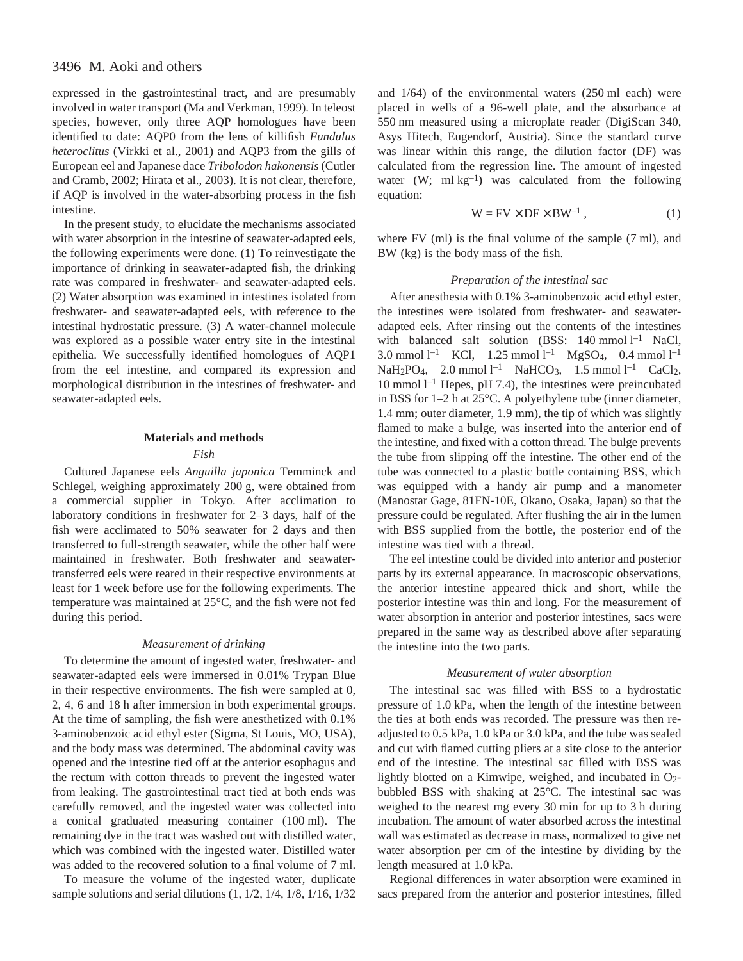expressed in the gastrointestinal tract, and are presumably involved in water transport (Ma and Verkman, 1999). In teleost species, however, only three AQP homologues have been identified to date: AQP0 from the lens of killifish *Fundulus heteroclitus* (Virkki et al., 2001) and AQP3 from the gills of European eel and Japanese dace *Tribolodon hakonensis* (Cutler and Cramb, 2002; Hirata et al., 2003). It is not clear, therefore, if AQP is involved in the water-absorbing process in the fish intestine.

In the present study, to elucidate the mechanisms associated with water absorption in the intestine of seawater-adapted eels, the following experiments were done. (1) To reinvestigate the importance of drinking in seawater-adapted fish, the drinking rate was compared in freshwater- and seawater-adapted eels. (2) Water absorption was examined in intestines isolated from freshwater- and seawater-adapted eels, with reference to the intestinal hydrostatic pressure. (3) A water-channel molecule was explored as a possible water entry site in the intestinal epithelia. We successfully identified homologues of AQP1 from the eel intestine, and compared its expression and morphological distribution in the intestines of freshwater- and seawater-adapted eels.

### **Materials and methods**

#### *Fish*

Cultured Japanese eels *Anguilla japonica* Temminck and Schlegel, weighing approximately 200 g, were obtained from a commercial supplier in Tokyo. After acclimation to laboratory conditions in freshwater for 2–3 days, half of the fish were acclimated to 50% seawater for 2 days and then transferred to full-strength seawater, while the other half were maintained in freshwater. Both freshwater and seawatertransferred eels were reared in their respective environments at least for 1 week before use for the following experiments. The temperature was maintained at 25°C, and the fish were not fed during this period.

#### *Measurement of drinking*

To determine the amount of ingested water, freshwater- and seawater-adapted eels were immersed in 0.01% Trypan Blue in their respective environments. The fish were sampled at 0, 2, 4, 6 and 18 h after immersion in both experimental groups. At the time of sampling, the fish were anesthetized with 0.1% 3-aminobenzoic acid ethyl ester (Sigma, St Louis, MO, USA), and the body mass was determined. The abdominal cavity was opened and the intestine tied off at the anterior esophagus and the rectum with cotton threads to prevent the ingested water from leaking. The gastrointestinal tract tied at both ends was carefully removed, and the ingested water was collected into a conical graduated measuring container (100 ml). The remaining dye in the tract was washed out with distilled water, which was combined with the ingested water. Distilled water was added to the recovered solution to a final volume of 7 ml.

To measure the volume of the ingested water, duplicate sample solutions and serial dilutions (1, 1/2, 1/4, 1/8, 1/16, 1/32

and  $1/64$ ) of the environmental waters  $(250 \text{ ml} \text{ each})$  were placed in wells of a 96-well plate, and the absorbance at 550 nm measured using a microplate reader (DigiScan 340, Asys Hitech, Eugendorf, Austria). Since the standard curve was linear within this range, the dilution factor (DF) was calculated from the regression line. The amount of ingested water (W; ml  $kg^{-1}$ ) was calculated from the following equation:

$$
W = FV \times DF \times BW^{-1}, \qquad (1)
$$

where  $FV$  (ml) is the final volume of the sample  $(7 \text{ ml})$ , and BW (kg) is the body mass of the fish.

## *Preparation of the intestinal sac*

After anesthesia with 0.1% 3-aminobenzoic acid ethyl ester, the intestines were isolated from freshwater- and seawateradapted eels. After rinsing out the contents of the intestines with balanced salt solution (BSS:  $140 \text{ mmol } l^{-1}$  NaCl, 3.0 mmol  $l^{-1}$  KCl, 1.25 mmol  $l^{-1}$  MgSO<sub>4</sub>, 0.4 mmol  $l^{-1}$  $NaH_2PO_4$ , 2.0 mmol  $l^{-1}$  NaHCO<sub>3</sub>, 1.5 mmol  $l^{-1}$  CaCl<sub>2</sub>, 10 mmol  $l^{-1}$  Hepes, pH 7.4), the intestines were preincubated in BSS for  $1-2$  h at  $25^{\circ}$ C. A polyethylene tube (inner diameter, 1.4 mm; outer diameter, 1.9 mm), the tip of which was slightly flamed to make a bulge, was inserted into the anterior end of the intestine, and fixed with a cotton thread. The bulge prevents the tube from slipping off the intestine. The other end of the tube was connected to a plastic bottle containing BSS, which was equipped with a handy air pump and a manometer (Manostar Gage, 81FN-10E, Okano, Osaka, Japan) so that the pressure could be regulated. After flushing the air in the lumen with BSS supplied from the bottle, the posterior end of the intestine was tied with a thread.

The eel intestine could be divided into anterior and posterior parts by its external appearance. In macroscopic observations, the anterior intestine appeared thick and short, while the posterior intestine was thin and long. For the measurement of water absorption in anterior and posterior intestines, sacs were prepared in the same way as described above after separating the intestine into the two parts.

#### *Measurement of water absorption*

The intestinal sac was filled with BSS to a hydrostatic pressure of 1.0 kPa, when the length of the intestine between the ties at both ends was recorded. The pressure was then readjusted to 0.5 kPa, 1.0 kPa or 3.0 kPa, and the tube was sealed and cut with flamed cutting pliers at a site close to the anterior end of the intestine. The intestinal sac filled with BSS was lightly blotted on a Kimwipe, weighed, and incubated in  $O<sub>2</sub>$ bubbled BSS with shaking at 25°C. The intestinal sac was weighed to the nearest mg every 30 min for up to 3 h during incubation. The amount of water absorbed across the intestinal wall was estimated as decrease in mass, normalized to give net water absorption per cm of the intestine by dividing by the length measured at 1.0 kPa.

Regional differences in water absorption were examined in sacs prepared from the anterior and posterior intestines, filled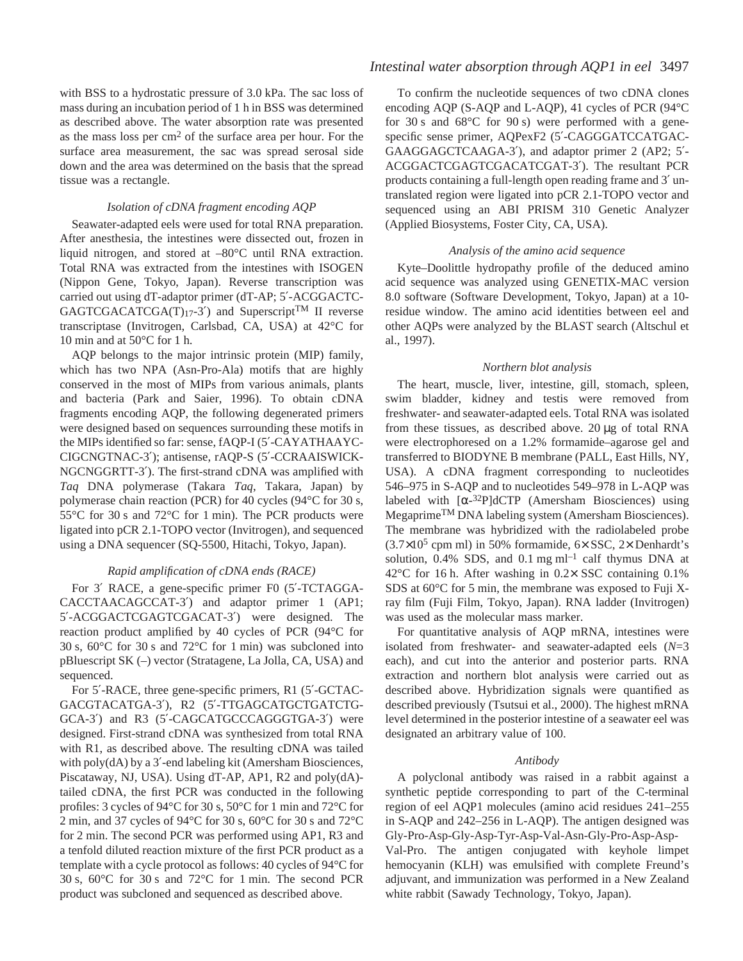with BSS to a hydrostatic pressure of 3.0 kPa. The sac loss of mass during an incubation period of 1 h in BSS was determined as described above. The water absorption rate was presented as the mass loss per  $\text{cm}^2$  of the surface area per hour. For the surface area measurement, the sac was spread serosal side down and the area was determined on the basis that the spread tissue was a rectangle.

### *Isolation of cDNA fragment encoding AQP*

Seawater-adapted eels were used for total RNA preparation. After anesthesia, the intestines were dissected out, frozen in liquid nitrogen, and stored at –80°C until RNA extraction. Total RNA was extracted from the intestines with ISOGEN (Nippon Gene, Tokyo, Japan). Reverse transcription was carried out using dT-adaptor primer (dT-AP; 5′-ACGGACTC- $GAGTCGACATCGA(T)<sub>17</sub>-3'$  and Superscript<sup>TM</sup> II reverse transcriptase (Invitrogen, Carlsbad, CA, USA) at 42°C for 10 min and at  $50^{\circ}$ C for 1 h.

AQP belongs to the major intrinsic protein (MIP) family, which has two NPA (Asn-Pro-Ala) motifs that are highly conserved in the most of MIPs from various animals, plants and bacteria (Park and Saier, 1996). To obtain cDNA fragments encoding AQP, the following degenerated primers were designed based on sequences surrounding these motifs in the MIPs identified so far: sense, fAQP-I (5′-CAYATHAAYC-CIGCNGTNAC-3′); antisense, rAQP-S (5′-CCRAAISWICK-NGCNGGRTT-3′). The first-strand cDNA was amplified with *Taq* DNA polymerase (Takara *Taq*, Takara, Japan) by polymerase chain reaction (PCR) for 40 cycles (94°C for 30 s, 55 $\degree$ C for 30 s and 72 $\degree$ C for 1 min). The PCR products were ligated into pCR 2.1-TOPO vector (Invitrogen), and sequenced using a DNA sequencer (SQ-5500, Hitachi, Tokyo, Japan).

### *Rapid amplification of cDNA ends (RACE)*

For 3′ RACE, a gene-specific primer F0 (5′-TCTAGGA-CACCTAACAGCCAT-3′) and adaptor primer 1 (AP1; 5′-ACGGACTCGAGTCGACAT-3′) were designed. The reaction product amplified by 40 cycles of PCR (94°C for 30 s,  $60^{\circ}$ C for 30 s and  $72^{\circ}$ C for 1 min) was subcloned into pBluescript SK (–) vector (Stratagene, La Jolla, CA, USA) and sequenced.

For 5′-RACE, three gene-specific primers, R1 (5′-GCTAC-GACGTACATGA-3′), R2 (5′-TTGAGCATGCTGATCTG-GCA-3′) and R3 (5′-CAGCATGCCCAGGGTGA-3′) were designed. First-strand cDNA was synthesized from total RNA with R1, as described above. The resulting cDNA was tailed with poly(dA) by a 3'-end labeling kit (Amersham Biosciences, Piscataway, NJ, USA). Using dT-AP, AP1, R2 and poly(dA) tailed cDNA, the first PCR was conducted in the following profiles: 3 cycles of 94 $\rm ^{\circ}C$  for 30 s, 50 $\rm ^{\circ}C$  for 1 min and 72 $\rm ^{\circ}C$  for 2 min, and 37 cycles of 94 $\degree$ C for 30 s, 60 $\degree$ C for 30 s and 72 $\degree$ C for 2 min. The second PCR was performed using AP1, R3 and a tenfold diluted reaction mixture of the first PCR product as a template with a cycle protocol as follows: 40 cycles of 94°C for 30 s,  $60^{\circ}$ C for 30 s and  $72^{\circ}$ C for 1 min. The second PCR product was subcloned and sequenced as described above.

# *Intestinal water absorption through AQP1 in eel* 3497

To confirm the nucleotide sequences of two cDNA clones encoding AQP (S-AQP and L-AQP), 41 cycles of PCR (94°C for 30 s and  $68^{\circ}$ C for 90 s) were performed with a genespecific sense primer, AQPexF2 (5′-CAGGGATCCATGAC-GAAGGAGCTCAAGA-3′), and adaptor primer 2 (AP2; 5′- ACGGACTCGAGTCGACATCGAT-3′). The resultant PCR products containing a full-length open reading frame and 3′ untranslated region were ligated into pCR 2.1-TOPO vector and sequenced using an ABI PRISM 310 Genetic Analyzer (Applied Biosystems, Foster City, CA, USA).

## *Analysis of the amino acid sequence*

Kyte–Doolittle hydropathy profile of the deduced amino acid sequence was analyzed using GENETIX-MAC version 8.0 software (Software Development, Tokyo, Japan) at a 10 residue window. The amino acid identities between eel and other AQPs were analyzed by the BLAST search (Altschul et al., 1997).

### *Northern blot analysis*

The heart, muscle, liver, intestine, gill, stomach, spleen, swim bladder, kidney and testis were removed from freshwater- and seawater-adapted eels. Total RNA was isolated from these tissues, as described above.  $20 \mu$ g of total RNA were electrophoresed on a 1.2% formamide–agarose gel and transferred to BIODYNE B membrane (PALL, East Hills, NY, USA). A cDNA fragment corresponding to nucleotides 546–975 in S-AQP and to nucleotides 549–978 in L-AQP was labeled with  $[\alpha^{-32}P]$ dCTP (Amersham Biosciences) using MegaprimeTM DNA labeling system (Amersham Biosciences). The membrane was hybridized with the radiolabeled probe  $(3.7\times10^5$  cpm ml) in 50% formamide, 6 $\times$  SSC, 2 $\times$  Denhardt's solution,  $0.4\%$  SDS, and  $0.1$  mg ml<sup>-1</sup> calf thymus DNA at 42°C for 16 h. After washing in  $0.2 \times$  SSC containing 0.1% SDS at  $60^{\circ}$ C for 5 min, the membrane was exposed to Fuji Xray film (Fuji Film, Tokyo, Japan). RNA ladder (Invitrogen) was used as the molecular mass marker.

For quantitative analysis of AQP mRNA, intestines were isolated from freshwater- and seawater-adapted eels (*N*=3 each), and cut into the anterior and posterior parts. RNA extraction and northern blot analysis were carried out as described above. Hybridization signals were quantified as described previously (Tsutsui et al., 2000). The highest mRNA level determined in the posterior intestine of a seawater eel was designated an arbitrary value of 100.

### *Antibody*

A polyclonal antibody was raised in a rabbit against a synthetic peptide corresponding to part of the C-terminal region of eel AQP1 molecules (amino acid residues 241–255 in S-AQP and 242–256 in L-AQP). The antigen designed was Gly-Pro-Asp-Gly-Asp-Tyr-Asp-Val-Asn-Gly-Pro-Asp-Asp-Val-Pro. The antigen conjugated with keyhole limpet hemocyanin (KLH) was emulsified with complete Freund's adjuvant, and immunization was performed in a New Zealand white rabbit (Sawady Technology, Tokyo, Japan).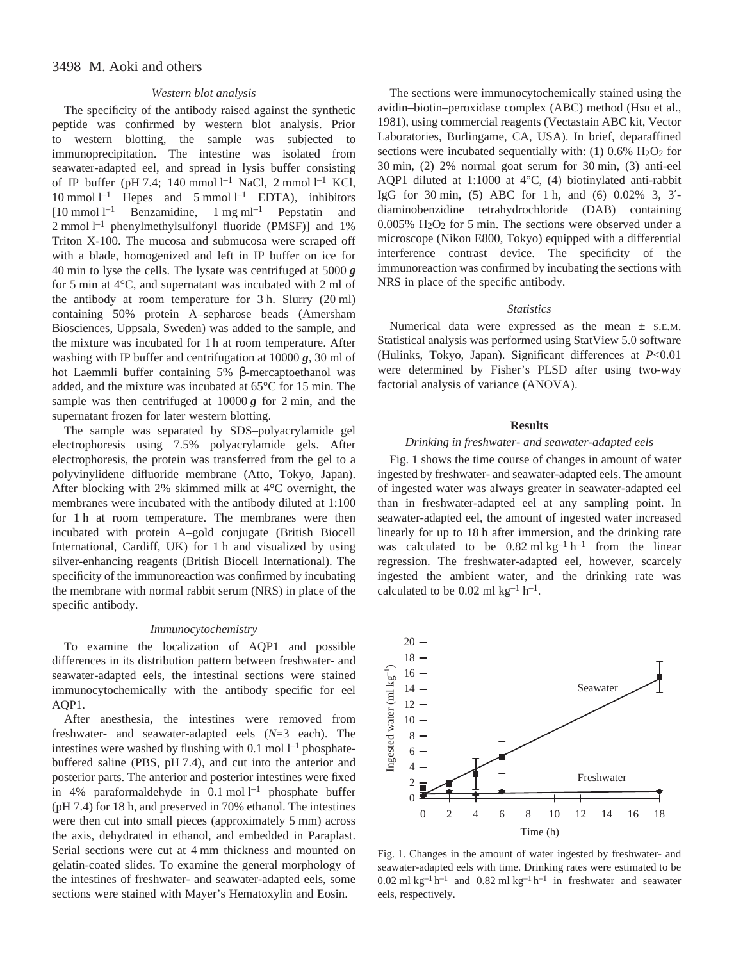## *Western blot analysis*

The specificity of the antibody raised against the synthetic peptide was confirmed by western blot analysis. Prior to western blotting, the sample was subjected to immunoprecipitation. The intestine was isolated from seawater-adapted eel, and spread in lysis buffer consisting of IP buffer (pH 7.4; 140 mmol  $l^{-1}$  NaCl, 2 mmol  $l^{-1}$  KCl, 10 mmol  $l^{-1}$  Hepes and 5 mmol  $l^{-1}$  EDTA), inhibitors  $[10 \text{ mmol } l^{-1}$  Benzamidine, 1 mg ml<sup>-1</sup> Pepstatin and  $2$  mmol  $1^{-1}$  phenylmethylsulfonyl fluoride (PMSF)] and 1% Triton X-100. The mucosa and submucosa were scraped off with a blade, homogenized and left in IP buffer on ice for 40 min to lyse the cells. The lysate was centrifuged at  $5000g$ for 5 min at  $4^{\circ}$ C, and supernatant was incubated with 2 ml of the antibody at room temperature for  $3 h$ . Slurry (20 ml) containing 50% protein A–sepharose beads (Amersham Biosciences, Uppsala, Sweden) was added to the sample, and the mixture was incubated for 1 h at room temperature. After washing with IP buffer and centrifugation at  $10000\,\text{g}$ , 30 ml of hot Laemmli buffer containing 5% β-mercaptoethanol was added, and the mixture was incubated at  $65^{\circ}$ C for 15 min. The sample was then centrifuged at  $10000\,\text{g}$  for 2 min, and the supernatant frozen for later western blotting.

The sample was separated by SDS–polyacrylamide gel electrophoresis using 7.5% polyacrylamide gels. After electrophoresis, the protein was transferred from the gel to a polyvinylidene difluoride membrane (Atto, Tokyo, Japan). After blocking with 2% skimmed milk at 4°C overnight, the membranes were incubated with the antibody diluted at 1:100 for 1 h at room temperature. The membranes were then incubated with protein A–gold conjugate (British Biocell International, Cardiff, UK) for 1 h and visualized by using silver-enhancing reagents (British Biocell International). The specificity of the immunoreaction was confirmed by incubating the membrane with normal rabbit serum (NRS) in place of the specific antibody.

#### *Immunocytochemistry*

To examine the localization of AQP1 and possible differences in its distribution pattern between freshwater- and seawater-adapted eels, the intestinal sections were stained immunocytochemically with the antibody specific for eel AQP1.

After anesthesia, the intestines were removed from freshwater- and seawater-adapted eels (*N*=3 each). The intestines were washed by flushing with  $0.1 \text{ mol} l^{-1}$  phosphatebuffered saline (PBS, pH 7.4), and cut into the anterior and posterior parts. The anterior and posterior intestines were fixed in 4% paraformaldehyde in  $0.1 \text{ mol } l^{-1}$  phosphate buffer (pH 7.4) for 18 h, and preserved in 70% ethanol. The intestines were then cut into small pieces (approximately 5 mm) across the axis, dehydrated in ethanol, and embedded in Paraplast. Serial sections were cut at 4 mm thickness and mounted on gelatin-coated slides. To examine the general morphology of the intestines of freshwater- and seawater-adapted eels, some sections were stained with Mayer's Hematoxylin and Eosin.

The sections were immunocytochemically stained using the avidin–biotin–peroxidase complex (ABC) method (Hsu et al., 1981), using commercial reagents (Vectastain ABC kit, Vector Laboratories, Burlingame, CA, USA). In brief, deparaffined sections were incubated sequentially with:  $(1)$  0.6%  $H<sub>2</sub>O<sub>2</sub>$  for  $30 \text{ min}$ , (2)  $2\%$  normal goat serum for  $30 \text{ min}$ , (3) anti-eel AQP1 diluted at 1:1000 at 4°C, (4) biotinylated anti-rabbit IgG for 30 min, (5) ABC for 1 h, and (6) 0.02% 3, 3'diaminobenzidine tetrahydrochloride (DAB) containing  $0.005\%$  H<sub>2</sub>O<sub>2</sub> for 5 min. The sections were observed under a microscope (Nikon E800, Tokyo) equipped with a differential interference contrast device. The specificity of the immunoreaction was confirmed by incubating the sections with NRS in place of the specific antibody.

#### *Statistics*

Numerical data were expressed as the mean  $\pm$  s.e.m. Statistical analysis was performed using StatView 5.0 software (Hulinks, Tokyo, Japan). Significant differences at *P*<0.01 were determined by Fisher's PLSD after using two-way factorial analysis of variance (ANOVA).

### **Results**

### *Drinking in freshwater- and seawater-adapted eels*

Fig. 1 shows the time course of changes in amount of water ingested by freshwater- and seawater-adapted eels. The amount of ingested water was always greater in seawater-adapted eel than in freshwater-adapted eel at any sampling point. In seawater-adapted eel, the amount of ingested water increased linearly for up to 18 h after immersion, and the drinking rate was calculated to be  $0.82 \text{ ml kg}^{-1} \text{ h}^{-1}$  from the linear regression. The freshwater-adapted eel, however, scarcely ingested the ambient water, and the drinking rate was calculated to be  $0.02$  ml kg<sup>-1</sup> h<sup>-1</sup>.



Fig. 1. Changes in the amount of water ingested by freshwater- and seawater-adapted eels with time. Drinking rates were estimated to be  $0.02$  ml kg<sup>-1</sup> h<sup>-1</sup> and  $0.82$  ml kg<sup>-1</sup> h<sup>-1</sup> in freshwater and seawater eels, respectively.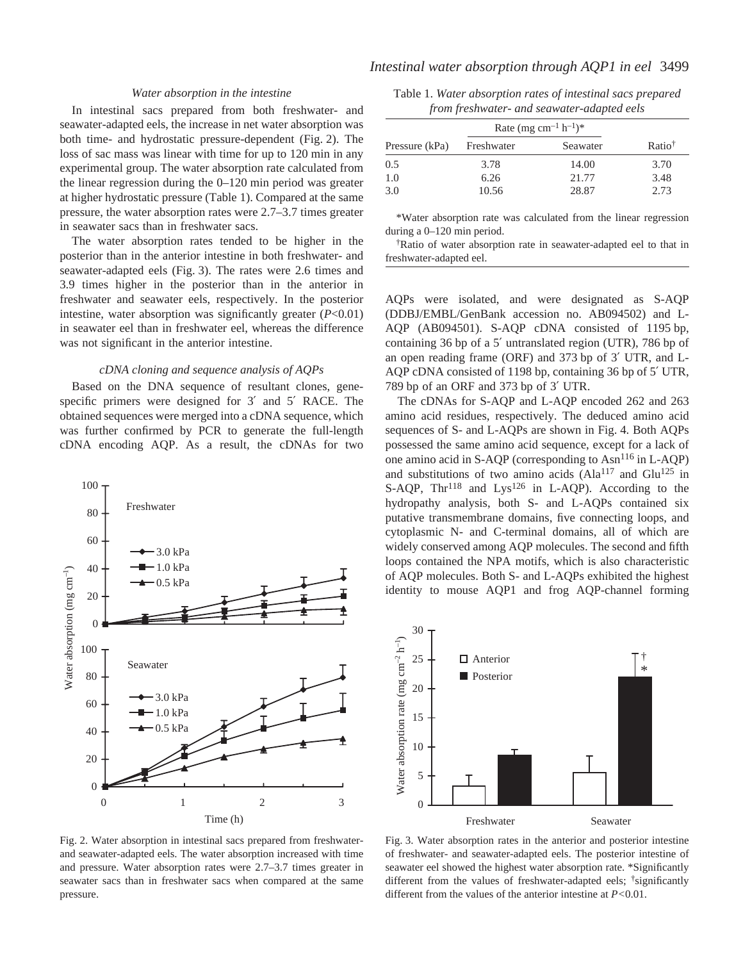## *Water absorption in the intestine*

In intestinal sacs prepared from both freshwater- and seawater-adapted eels, the increase in net water absorption was both time- and hydrostatic pressure-dependent (Fig. 2). The loss of sac mass was linear with time for up to 120 min in any experimental group. The water absorption rate calculated from the linear regression during the  $0-120$  min period was greater at higher hydrostatic pressure (Table·1). Compared at the same pressure, the water absorption rates were 2.7–3.7 times greater in seawater sacs than in freshwater sacs.

The water absorption rates tended to be higher in the posterior than in the anterior intestine in both freshwater- and seawater-adapted eels (Fig. 3). The rates were 2.6 times and 3.9 times higher in the posterior than in the anterior in freshwater and seawater eels, respectively. In the posterior intestine, water absorption was significantly greater (*P*<0.01) in seawater eel than in freshwater eel, whereas the difference was not significant in the anterior intestine.

#### *cDNA cloning and sequence analysis of AQPs*

Based on the DNA sequence of resultant clones, genespecific primers were designed for 3' and 5' RACE. The obtained sequences were merged into a cDNA sequence, which was further confirmed by PCR to generate the full-length cDNA encoding AQP. As a result, the cDNAs for two



Fig. 2. Water absorption in intestinal sacs prepared from freshwaterand seawater-adapted eels. The water absorption increased with time and pressure. Water absorption rates were 2.7–3.7 times greater in seawater sacs than in freshwater sacs when compared at the same pressure.

Table 1. *Water absorption rates of intestinal sacs prepared from freshwater- and seawater-adapted eels*

|                | Rate (mg cm <sup>-1</sup> h <sup>-1</sup> ) <sup>*</sup> |          |                    |
|----------------|----------------------------------------------------------|----------|--------------------|
| Pressure (kPa) | Freshwater                                               | Seawater | Ratio <sup>†</sup> |
| 0.5            | 3.78                                                     | 14.00    | 3.70               |
| 1.0            | 6.26                                                     | 21.77    | 3.48               |
| 3.0            | 10.56                                                    | 28.87    | 2.73               |

\*Water absorption rate was calculated from the linear regression during a  $0-120$  min period.

†Ratio of water absorption rate in seawater-adapted eel to that in freshwater-adapted eel.

AQPs were isolated, and were designated as S-AQP (DDBJ/EMBL/GenBank accession no. AB094502) and L-AQP (AB094501). S-AQP cDNA consisted of 1195 bp, containing 36 bp of a 5' untranslated region (UTR), 786 bp of an open reading frame (ORF) and 373 bp of 3' UTR, and L-AQP cDNA consisted of 1198 bp, containing 36 bp of 5' UTR, 789 bp of an ORF and 373 bp of 3' UTR.

The cDNAs for S-AQP and L-AQP encoded 262 and 263 amino acid residues, respectively. The deduced amino acid sequences of S- and L-AQPs are shown in Fig. 4. Both AQPs possessed the same amino acid sequence, except for a lack of one amino acid in S-AQP (corresponding to Asn<sup>116</sup> in L-AOP) and substitutions of two amino acids  $(AIa<sup>117</sup>$  and Glu<sup>125</sup> in S-AQP,  $Thr^{118}$  and  $Lys^{126}$  in L-AQP). According to the hydropathy analysis, both S- and L-AQPs contained six putative transmembrane domains, five connecting loops, and cytoplasmic N- and C-terminal domains, all of which are widely conserved among AQP molecules. The second and fifth loops contained the NPA motifs, which is also characteristic of AQP molecules. Both S- and L-AQPs exhibited the highest identity to mouse AQP1 and frog AQP-channel forming



Fig. 3. Water absorption rates in the anterior and posterior intestine of freshwater- and seawater-adapted eels. The posterior intestine of seawater eel showed the highest water absorption rate. \*Significantly different from the values of freshwater-adapted eels; <sup>†</sup>significantly different from the values of the anterior intestine at *P<*0.01.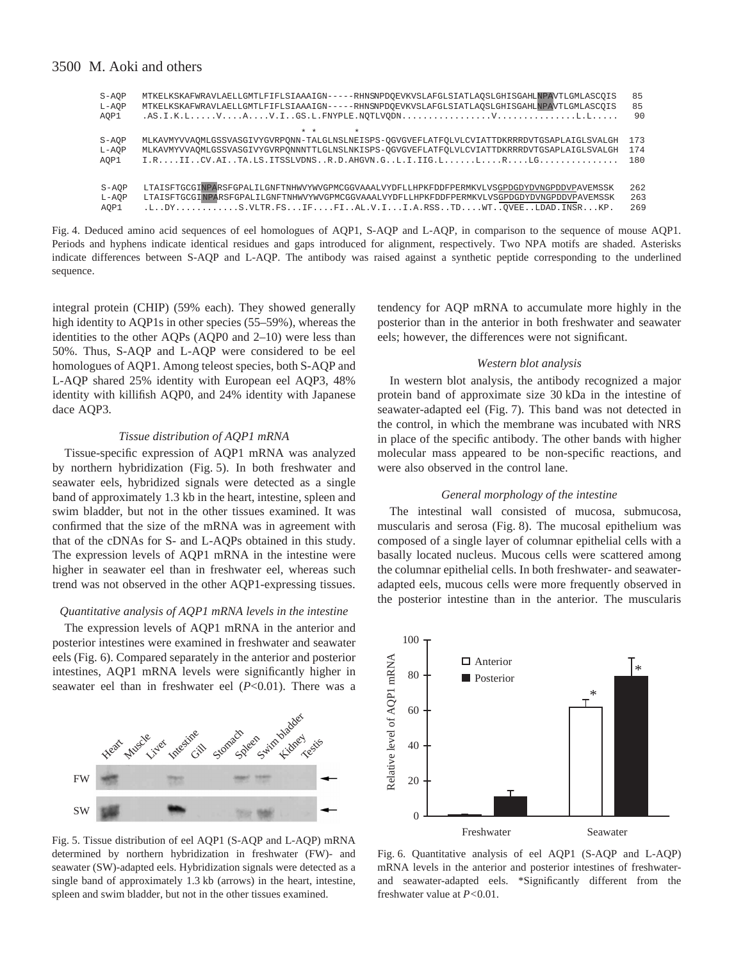| S-AOP<br>$L- AOP$ | -RHNSNPDOEVKVSLAFGLSIATLAOSLGHISGAHLNPAVTLGMLASCOIS<br>MTKELKSKAFWRAVLAELLGMTLFIFLSIAAAIGN--<br>-RHNSNPDOEVKVSLAFGLSIATLAOSLGHISGAHLNPAVTLGMLASCOIS<br>MTKELKSKAFWRAVLAELLGMTLFIFLSIAAAIGN---- | 85<br>85 |
|-------------------|------------------------------------------------------------------------------------------------------------------------------------------------------------------------------------------------|----------|
| AOP1              | $*$ $*$<br>$\star$                                                                                                                                                                             | 90       |
| $S- AOP$          | MLKAVMYVVAOMLGSSVASGIVYGVRPONN-TALGLNSLNEISPS-OGVGVEFLATFOLVLCVIATTDKRRRDVTGSAPLAIGLSVALGH                                                                                                     | 173      |
| $L- AOP$          | MLKAVMYVVAOMLGSSVASGIVYGVRPONNNTTLGLNSLNKISPS-OGVGVEFLATFOLVLCVIATTDKRRRDVTGSAPLAIGLSVALGH                                                                                                     | 174      |
| AOP1              | $I.R. \ldots II \ldots CV.AI \ldots TA.LS. ITSSLVDNS \ldots R.D.AHGVN.G \ldots L.I.IIG.L \ldots L.L \ldots L.R \ldots L.G \ldots \ldots \ldots \ldots \ldots$                                  | 180      |
| S-AOP             | LTAISFTGCGINPARSFGPALILGNFTNHWVYWVGPMCGGVAAALVYDFLLHPKFDDFPERMKVLVSGPDGDYDVNGPDDVPAVEMSSK                                                                                                      | 262      |
| L-AOP             | LTAISFTGCGINPARSFGPALILGNFTNHWVYWVGPMCGGVAAALVYDFLLHPKFDDFPERMKVLVSGPDGDYDVNGPDDVPAVEMSSK                                                                                                      | 263      |
| AOP1              |                                                                                                                                                                                                | 269      |

Fig. 4. Deduced amino acid sequences of eel homologues of AQP1, S-AQP and L-AQP, in comparison to the sequence of mouse AQP1. Periods and hyphens indicate identical residues and gaps introduced for alignment, respectively. Two NPA motifs are shaded. Asterisks indicate differences between S-AQP and L-AQP. The antibody was raised against a synthetic peptide corresponding to the underlined sequence.

integral protein (CHIP) (59% each). They showed generally high identity to AQP1s in other species (55–59%), whereas the identities to the other AQPs (AQP0 and 2–10) were less than 50%. Thus, S-AQP and L-AQP were considered to be eel homologues of AQP1. Among teleost species, both S-AQP and L-AQP shared 25% identity with European eel AQP3, 48% identity with killifish AQP0, and 24% identity with Japanese dace AQP3.

### *Tissue distribution of AQP1 mRNA*

Tissue-specific expression of AQP1 mRNA was analyzed by northern hybridization (Fig. 5). In both freshwater and seawater eels, hybridized signals were detected as a single band of approximately 1.3 kb in the heart, intestine, spleen and swim bladder, but not in the other tissues examined. It was confirmed that the size of the mRNA was in agreement with that of the cDNAs for S- and L-AQPs obtained in this study. The expression levels of AQP1 mRNA in the intestine were higher in seawater eel than in freshwater eel, whereas such trend was not observed in the other AQP1-expressing tissues.

### *Quantitative analysis of AQP1 mRNA levels in the intestine*

The expression levels of AQP1 mRNA in the anterior and posterior intestines were examined in freshwater and seawater eels (Fig. 6). Compared separately in the anterior and posterior intestines, AQP1 mRNA levels were significantly higher in seawater eel than in freshwater eel (*P*<0.01). There was a



Fig. 5. Tissue distribution of eel AQP1 (S-AQP and L-AQP) mRNA determined by northern hybridization in freshwater (FW)- and seawater (SW)-adapted eels. Hybridization signals were detected as a single band of approximately 1.3 kb (arrows) in the heart, intestine, spleen and swim bladder, but not in the other tissues examined.

tendency for AQP mRNA to accumulate more highly in the posterior than in the anterior in both freshwater and seawater eels; however, the differences were not significant.

#### *Western blot analysis*

In western blot analysis, the antibody recognized a major protein band of approximate size 30 kDa in the intestine of seawater-adapted eel (Fig. 7). This band was not detected in the control, in which the membrane was incubated with NRS in place of the specific antibody. The other bands with higher molecular mass appeared to be non-specific reactions, and were also observed in the control lane.

#### *General morphology of the intestine*

The intestinal wall consisted of mucosa, submucosa, muscularis and serosa (Fig. 8). The mucosal epithelium was composed of a single layer of columnar epithelial cells with a basally located nucleus. Mucous cells were scattered among the columnar epithelial cells. In both freshwater- and seawateradapted eels, mucous cells were more frequently observed in the posterior intestine than in the anterior. The muscularis



Fig. 6. Quantitative analysis of eel AQP1 (S-AQP and L-AQP) mRNA levels in the anterior and posterior intestines of freshwaterand seawater-adapted eels. \*Significantly different from the freshwater value at *P<*0.01.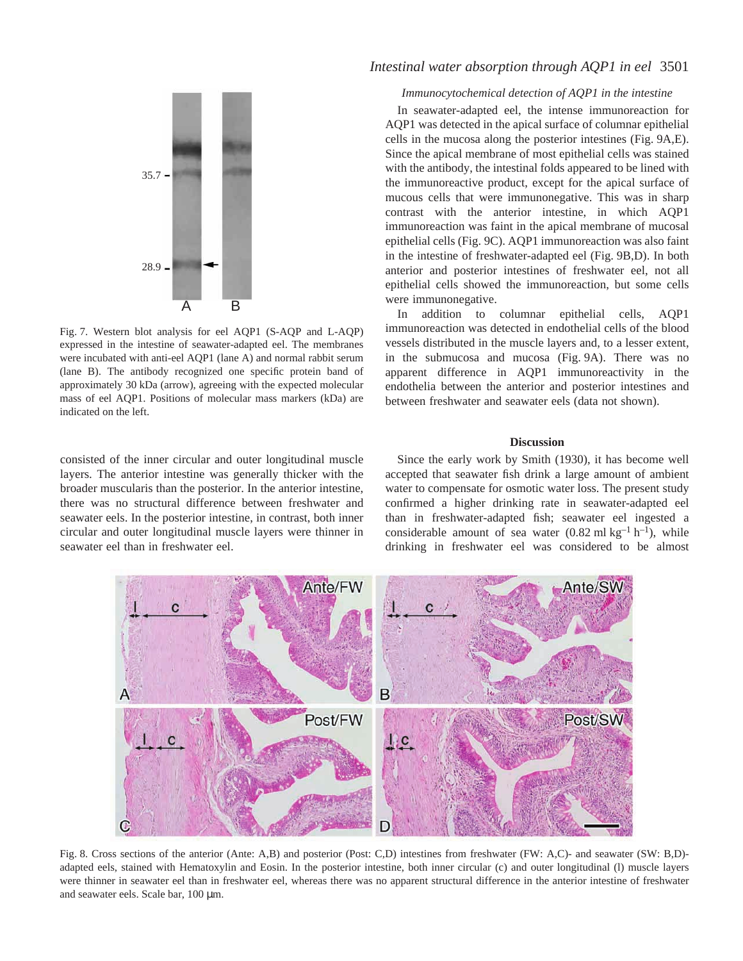

Fig. 7. Western blot analysis for eel AQP1 (S-AQP and L-AQP) expressed in the intestine of seawater-adapted eel. The membranes were incubated with anti-eel AQP1 (lane A) and normal rabbit serum (lane B). The antibody recognized one specific protein band of approximately 30 kDa (arrow), agreeing with the expected molecular mass of eel AQP1. Positions of molecular mass markers (kDa) are indicated on the left.

consisted of the inner circular and outer longitudinal muscle layers. The anterior intestine was generally thicker with the broader muscularis than the posterior. In the anterior intestine, there was no structural difference between freshwater and seawater eels. In the posterior intestine, in contrast, both inner circular and outer longitudinal muscle layers were thinner in seawater eel than in freshwater eel.

# *Intestinal water absorption through AQP1 in eel* 3501

## *Immunocytochemical detection of AQP1 in the intestine*

In seawater-adapted eel, the intense immunoreaction for AQP1 was detected in the apical surface of columnar epithelial cells in the mucosa along the posterior intestines (Fig. 9A,E). Since the apical membrane of most epithelial cells was stained with the antibody, the intestinal folds appeared to be lined with the immunoreactive product, except for the apical surface of mucous cells that were immunonegative. This was in sharp contrast with the anterior intestine, in which AQP1 immunoreaction was faint in the apical membrane of mucosal epithelial cells (Fig. 9C). AQP1 immunoreaction was also faint in the intestine of freshwater-adapted eel (Fig. 9B,D). In both anterior and posterior intestines of freshwater eel, not all epithelial cells showed the immunoreaction, but some cells were immunonegative.

In addition to columnar epithelial cells, AQP1 immunoreaction was detected in endothelial cells of the blood vessels distributed in the muscle layers and, to a lesser extent, in the submucosa and mucosa (Fig. 9A). There was no apparent difference in AQP1 immunoreactivity in the endothelia between the anterior and posterior intestines and between freshwater and seawater eels (data not shown).

#### **Discussion**

Since the early work by Smith (1930), it has become well accepted that seawater fish drink a large amount of ambient water to compensate for osmotic water loss. The present study confirmed a higher drinking rate in seawater-adapted eel than in freshwater-adapted fish; seawater eel ingested a considerable amount of sea water  $(0.82 \text{ ml kg}^{-1} \text{ h}^{-1})$ , while drinking in freshwater eel was considered to be almost



Fig. 8. Cross sections of the anterior (Ante: A,B) and posterior (Post: C,D) intestines from freshwater (FW: A,C)- and seawater (SW: B,D)adapted eels, stained with Hematoxylin and Eosin. In the posterior intestine, both inner circular (c) and outer longitudinal (l) muscle layers were thinner in seawater eel than in freshwater eel, whereas there was no apparent structural difference in the anterior intestine of freshwater and seawater eels. Scale bar, 100 µm.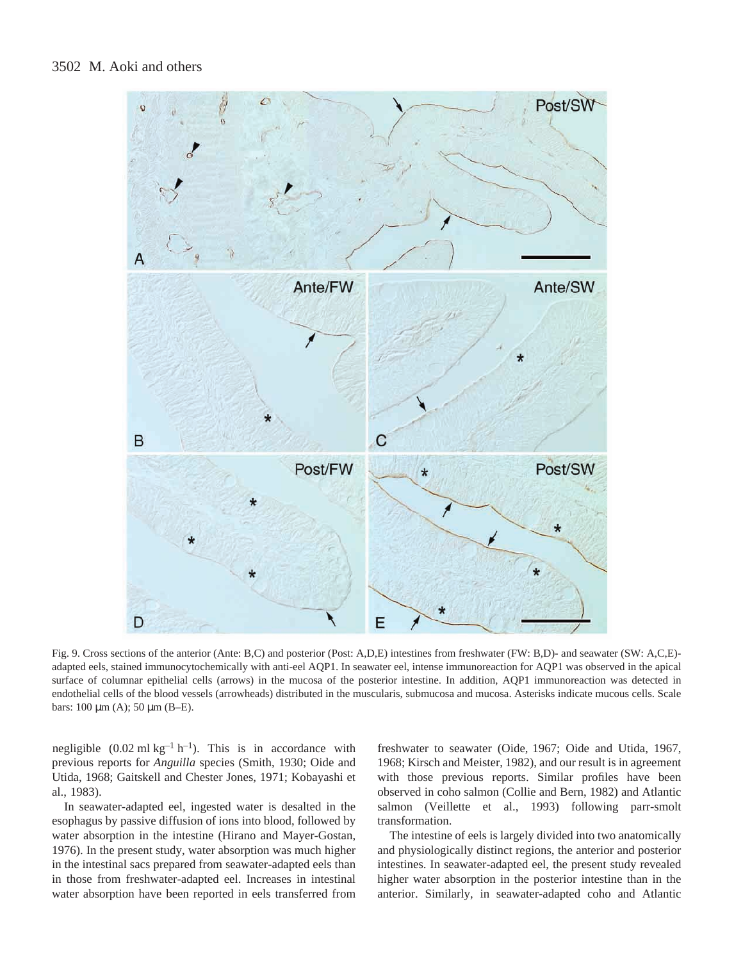

Fig. 9. Cross sections of the anterior (Ante: B,C) and posterior (Post: A,D,E) intestines from freshwater (FW: B,D)- and seawater (SW: A,C,E)adapted eels, stained immunocytochemically with anti-eel AQP1. In seawater eel, intense immunoreaction for AQP1 was observed in the apical surface of columnar epithelial cells (arrows) in the mucosa of the posterior intestine. In addition, AQP1 immunoreaction was detected in endothelial cells of the blood vessels (arrowheads) distributed in the muscularis, submucosa and mucosa. Asterisks indicate mucous cells. Scale bars:  $100 \mu m$  (A);  $50 \mu m$  (B-E).

negligible  $(0.02 \text{ ml kg}^{-1} \text{ h}^{-1})$ . This is in accordance with previous reports for *Anguilla* species (Smith, 1930; Oide and Utida, 1968; Gaitskell and Chester Jones, 1971; Kobayashi et al., 1983).

In seawater-adapted eel, ingested water is desalted in the esophagus by passive diffusion of ions into blood, followed by water absorption in the intestine (Hirano and Mayer-Gostan, 1976). In the present study, water absorption was much higher in the intestinal sacs prepared from seawater-adapted eels than in those from freshwater-adapted eel. Increases in intestinal water absorption have been reported in eels transferred from

freshwater to seawater (Oide, 1967; Oide and Utida, 1967, 1968; Kirsch and Meister, 1982), and our result is in agreement with those previous reports. Similar profiles have been observed in coho salmon (Collie and Bern, 1982) and Atlantic salmon (Veillette et al., 1993) following parr-smolt transformation.

The intestine of eels is largely divided into two anatomically and physiologically distinct regions, the anterior and posterior intestines. In seawater-adapted eel, the present study revealed higher water absorption in the posterior intestine than in the anterior. Similarly, in seawater-adapted coho and Atlantic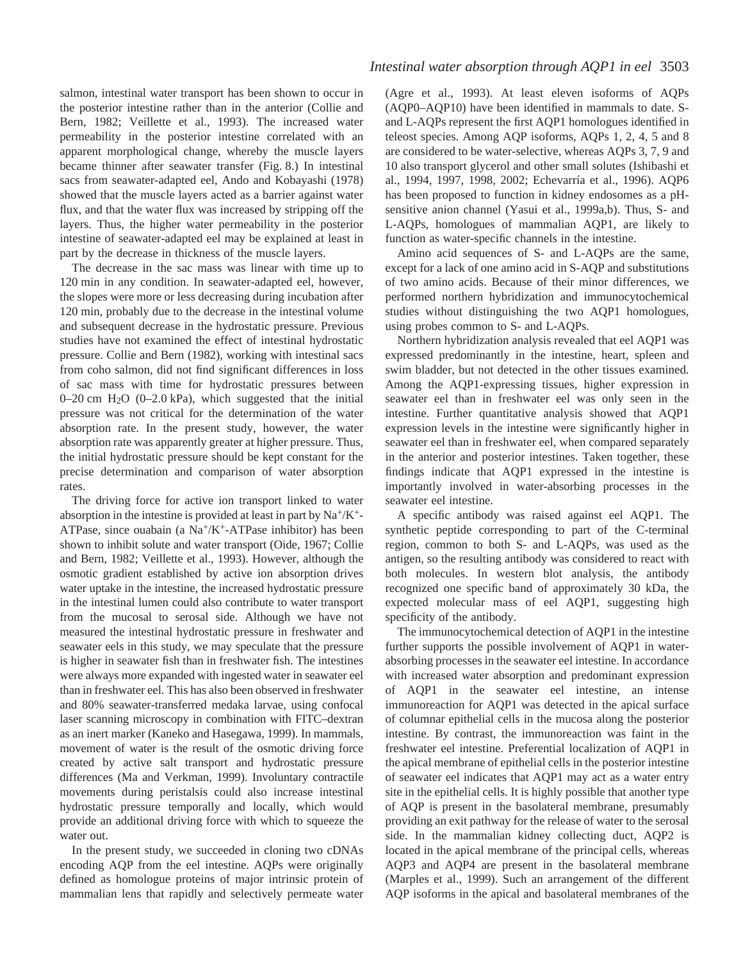salmon, intestinal water transport has been shown to occur in the posterior intestine rather than in the anterior (Collie and Bern, 1982; Veillette et al., 1993). The increased water permeability in the posterior intestine correlated with an apparent morphological change, whereby the muscle layers became thinner after seawater transfer (Fig. 8.) In intestinal sacs from seawater-adapted eel, Ando and Kobayashi (1978) showed that the muscle layers acted as a barrier against water flux, and that the water flux was increased by stripping off the layers. Thus, the higher water permeability in the posterior intestine of seawater-adapted eel may be explained at least in part by the decrease in thickness of the muscle layers.

The decrease in the sac mass was linear with time up to 120 min in any condition. In seawater-adapted eel, however, the slopes were more or less decreasing during incubation after 120 min, probably due to the decrease in the intestinal volume and subsequent decrease in the hydrostatic pressure. Previous studies have not examined the effect of intestinal hydrostatic pressure. Collie and Bern (1982), working with intestinal sacs from coho salmon, did not find significant differences in loss of sac mass with time for hydrostatic pressures between 0–20 cm  $H<sub>2</sub>O$  (0–2.0 kPa), which suggested that the initial pressure was not critical for the determination of the water absorption rate. In the present study, however, the water absorption rate was apparently greater at higher pressure. Thus, the initial hydrostatic pressure should be kept constant for the precise determination and comparison of water absorption rates.

The driving force for active ion transport linked to water absorption in the intestine is provided at least in part by  $Na^+/K^+$ -ATPase, since ouabain (a  $Na^{+}/K^{+}$ -ATPase inhibitor) has been shown to inhibit solute and water transport (Oide, 1967; Collie and Bern, 1982; Veillette et al., 1993). However, although the osmotic gradient established by active ion absorption drives water uptake in the intestine, the increased hydrostatic pressure in the intestinal lumen could also contribute to water transport from the mucosal to serosal side. Although we have not measured the intestinal hydrostatic pressure in freshwater and seawater eels in this study, we may speculate that the pressure is higher in seawater fish than in freshwater fish. The intestines were always more expanded with ingested water in seawater eel than in freshwater eel. This has also been observed in freshwater and 80% seawater-transferred medaka larvae, using confocal laser scanning microscopy in combination with FITC–dextran as an inert marker (Kaneko and Hasegawa, 1999). In mammals, movement of water is the result of the osmotic driving force created by active salt transport and hydrostatic pressure differences (Ma and Verkman, 1999). Involuntary contractile movements during peristalsis could also increase intestinal hydrostatic pressure temporally and locally, which would provide an additional driving force with which to squeeze the water out.

In the present study, we succeeded in cloning two cDNAs encoding AQP from the eel intestine. AQPs were originally defined as homologue proteins of major intrinsic protein of mammalian lens that rapidly and selectively permeate water

(Agre et al., 1993). At least eleven isoforms of AQPs (AQP0–AQP10) have been identified in mammals to date. Sand L-AQPs represent the first AQP1 homologues identified in teleost species. Among AQP isoforms, AQPs 1, 2, 4, 5 and 8 are considered to be water-selective, whereas AQPs 3, 7, 9 and 10 also transport glycerol and other small solutes (Ishibashi et al., 1994, 1997, 1998, 2002; Echevarría et al., 1996). AQP6 has been proposed to function in kidney endosomes as a pHsensitive anion channel (Yasui et al., 1999a,b). Thus, S- and L-AQPs, homologues of mammalian AQP1, are likely to function as water-specific channels in the intestine.

Amino acid sequences of S- and L-AQPs are the same, except for a lack of one amino acid in S-AQP and substitutions of two amino acids. Because of their minor differences, we performed northern hybridization and immunocytochemical studies without distinguishing the two AQP1 homologues, using probes common to S- and L-AQPs.

Northern hybridization analysis revealed that eel AQP1 was expressed predominantly in the intestine, heart, spleen and swim bladder, but not detected in the other tissues examined. Among the AQP1-expressing tissues, higher expression in seawater eel than in freshwater eel was only seen in the intestine. Further quantitative analysis showed that AQP1 expression levels in the intestine were significantly higher in seawater eel than in freshwater eel, when compared separately in the anterior and posterior intestines. Taken together, these findings indicate that AQP1 expressed in the intestine is importantly involved in water-absorbing processes in the seawater eel intestine.

A specific antibody was raised against eel AQP1. The synthetic peptide corresponding to part of the C-terminal region, common to both S- and L-AQPs, was used as the antigen, so the resulting antibody was considered to react with both molecules. In western blot analysis, the antibody recognized one specific band of approximately 30 kDa, the expected molecular mass of eel AQP1, suggesting high specificity of the antibody.

The immunocytochemical detection of AQP1 in the intestine further supports the possible involvement of AQP1 in waterabsorbing processes in the seawater eel intestine. In accordance with increased water absorption and predominant expression of AQP1 in the seawater eel intestine, an intense immunoreaction for AQP1 was detected in the apical surface of columnar epithelial cells in the mucosa along the posterior intestine. By contrast, the immunoreaction was faint in the freshwater eel intestine. Preferential localization of AQP1 in the apical membrane of epithelial cells in the posterior intestine of seawater eel indicates that AQP1 may act as a water entry site in the epithelial cells. It is highly possible that another type of AQP is present in the basolateral membrane, presumably providing an exit pathway for the release of water to the serosal side. In the mammalian kidney collecting duct, AQP2 is located in the apical membrane of the principal cells, whereas AQP3 and AQP4 are present in the basolateral membrane (Marples et al., 1999). Such an arrangement of the different AQP isoforms in the apical and basolateral membranes of the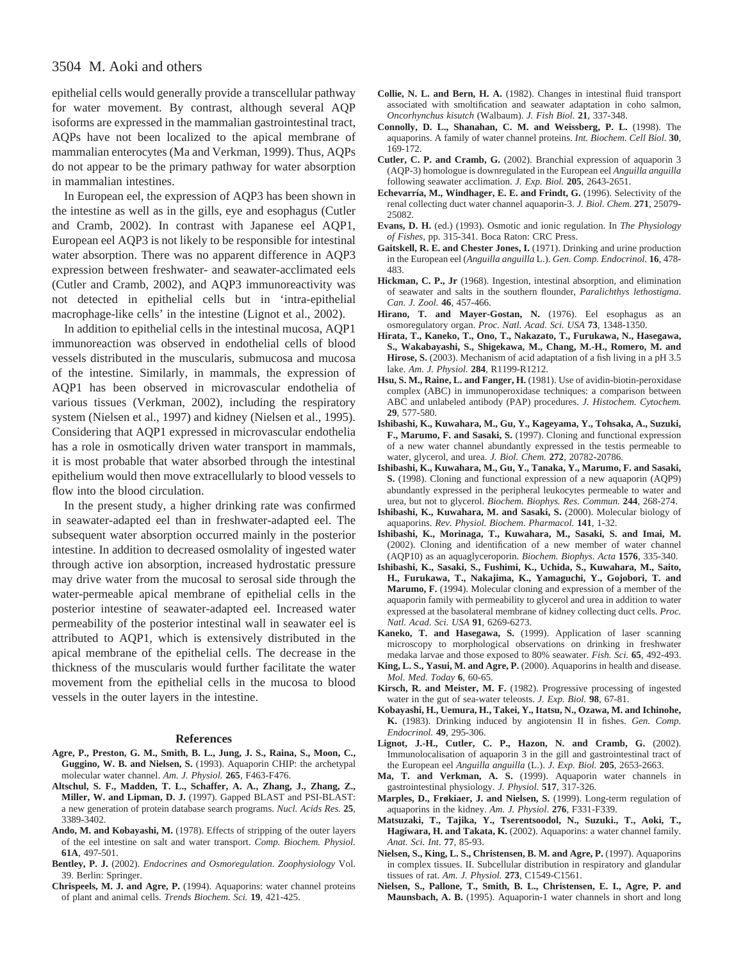epithelial cells would generally provide a transcellular pathway for water movement. By contrast, although several AQP isoforms are expressed in the mammalian gastrointestinal tract, AQPs have not been localized to the apical membrane of mammalian enterocytes (Ma and Verkman, 1999). Thus, AQPs do not appear to be the primary pathway for water absorption in mammalian intestines.

In European eel, the expression of AQP3 has been shown in the intestine as well as in the gills, eye and esophagus (Cutler and Cramb, 2002). In contrast with Japanese eel AQP1, European eel AQP3 is not likely to be responsible for intestinal water absorption. There was no apparent difference in AQP3 expression between freshwater- and seawater-acclimated eels (Cutler and Cramb, 2002), and AQP3 immunoreactivity was not detected in epithelial cells but in 'intra-epithelial macrophage-like cells' in the intestine (Lignot et al., 2002).

In addition to epithelial cells in the intestinal mucosa, AQP1 immunoreaction was observed in endothelial cells of blood vessels distributed in the muscularis, submucosa and mucosa of the intestine. Similarly, in mammals, the expression of AQP1 has been observed in microvascular endothelia of various tissues (Verkman, 2002), including the respiratory system (Nielsen et al., 1997) and kidney (Nielsen et al., 1995). Considering that AQP1 expressed in microvascular endothelia has a role in osmotically driven water transport in mammals, it is most probable that water absorbed through the intestinal epithelium would then move extracellularly to blood vessels to flow into the blood circulation.

In the present study, a higher drinking rate was confirmed in seawater-adapted eel than in freshwater-adapted eel. The subsequent water absorption occurred mainly in the posterior intestine. In addition to decreased osmolality of ingested water through active ion absorption, increased hydrostatic pressure may drive water from the mucosal to serosal side through the water-permeable apical membrane of epithelial cells in the posterior intestine of seawater-adapted eel. Increased water permeability of the posterior intestinal wall in seawater eel is attributed to AQP1, which is extensively distributed in the apical membrane of the epithelial cells. The decrease in the thickness of the muscularis would further facilitate the water movement from the epithelial cells in the mucosa to blood vessels in the outer layers in the intestine.

#### **References**

- **Agre, P., Preston, G. M., Smith, B. L., Jung, J. S., Raina, S., Moon, C., Guggino, W. B. and Nielsen, S.** (1993). Aquaporin CHIP: the archetypal molecular water channel. *Am. J. Physiol.* **265**, F463-F476.
- **Altschul, S. F., Madden, T. L., Schaffer, A. A., Zhang, J., Zhang, Z., Miller, W. and Lipman, D. J.** (1997). Gapped BLAST and PSI-BLAST: a new generation of protein database search programs. *Nucl. Acids Res.* **25**, 3389-3402.
- **Ando, M. and Kobayashi, M.** (1978). Effects of stripping of the outer layers of the eel intestine on salt and water transport. *Comp. Biochem. Physiol.* **61A**, 497-501.
- **Bentley, P. J.** (2002). *Endocrines and Osmoregulation*. *Zoophysiology* Vol. 39. Berlin: Springer.
- **Chrispeels, M. J. and Agre, P.** (1994). Aquaporins: water channel proteins of plant and animal cells. *Trends Biochem. Sci.* **19**, 421-425.
- **Collie, N. L. and Bern, H. A.** (1982). Changes in intestinal fluid transport associated with smoltification and seawater adaptation in coho salmon, *Oncorhynchus kisutch* (Walbaum). *J. Fish Biol.* **21**, 337-348.
- **Connolly, D. L., Shanahan, C. M. and Weissberg, P. L.** (1998). The aquaporins. A family of water channel proteins. *Int. Biochem. Cell Biol.* **30**, 169-172.
- **Cutler, C. P. and Cramb, G.** (2002). Branchial expression of aquaporin 3 (AQP-3) homologue is downregulated in the European eel *Anguilla anguilla* following seawater acclimation. *J. Exp. Biol.* **205**, 2643-2651.
- **Echevarría, M., Windhager, E. E. and Frindt, G.** (1996). Selectivity of the renal collecting duct water channel aquaporin-3. *J. Biol. Chem.* **271**, 25079- 25082.
- **Evans, D. H.** (ed.) (1993). Osmotic and ionic regulation. In *The Physiology of Fishes*, pp. 315-341. Boca Raton: CRC Press.
- **Gaitskell, R. E. and Chester Jones, I.** (1971). Drinking and urine production in the European eel (*Anguilla anguilla* L.). *Gen. Comp. Endocrinol.* **16**, 478- 483.
- **Hickman, C. P., Jr** (1968). Ingestion, intestinal absorption, and elimination of seawater and salts in the southern flounder, *Paralichthys lethostigma*. *Can. J. Zool.* **46**, 457-466.
- **Hirano, T. and Mayer-Gostan, N.** (1976). Eel esophagus as an osmoregulatory organ. *Proc. Natl. Acad. Sci. USA* **73**, 1348-1350.
- **Hirata, T., Kaneko, T., Ono, T., Nakazato, T., Furukawa, N., Hasegawa, S., Wakabayashi, S., Shigekawa, M., Chang, M.-H., Romero, M. and** Hirose, S. (2003). Mechanism of acid adaptation of a fish living in a pH 3.5 lake. *Am. J. Physiol.* **284**, R1199-R1212.
- **Hsu, S. M., Raine, L. and Fanger, H.** (1981). Use of avidin-biotin-peroxidase complex (ABC) in immunoperoxidase techniques: a comparison between ABC and unlabeled antibody (PAP) procedures. *J. Histochem. Cytochem.* **29**, 577-580.
- **Ishibashi, K., Kuwahara, M., Gu, Y., Kageyama, Y., Tohsaka, A., Suzuki, F., Marumo, F. and Sasaki, S.** (1997). Cloning and functional expression of a new water channel abundantly expressed in the testis permeable to water, glycerol, and urea. *J. Biol. Chem.* **272**, 20782-20786.
- **Ishibashi, K., Kuwahara, M., Gu, Y., Tanaka, Y., Marumo, F. and Sasaki, S.** (1998). Cloning and functional expression of a new aquaporin (AQP9) abundantly expressed in the peripheral leukocytes permeable to water and urea, but not to glycerol. *Biochem. Biophys. Res. Commun.* **244**, 268-274.
- **Ishibashi, K., Kuwahara, M. and Sasaki, S.** (2000). Molecular biology of aquaporins. *Rev. Physiol. Biochem. Pharmacol.* **141**, 1-32.
- **Ishibashi, K., Morinaga, T., Kuwahara, M., Sasaki, S. and Imai, M.** (2002). Cloning and identification of a new member of water channel (AQP10) as an aquaglyceroporin. *Biochem. Biophys. Acta* **1576**, 335-340.
- **Ishibashi, K., Sasaki, S., Fushimi, K., Uchida, S., Kuwahara, M., Saito, H., Furukawa, T., Nakajima, K., Yamaguchi, Y., Gojobori, T. and Marumo, F.** (1994). Molecular cloning and expression of a member of the aquaporin family with permeability to glycerol and urea in addition to water expressed at the basolateral membrane of kidney collecting duct cells. *Proc. Natl. Acad. Sci. USA* **91**, 6269-6273.
- **Kaneko, T. and Hasegawa, S.** (1999). Application of laser scanning microscopy to morphological observations on drinking in freshwater medaka larvae and those exposed to 80% seawater. *Fish. Sci.* **65**, 492-493.
- **King, L. S., Yasui, M. and Agre, P.** (2000). Aquaporins in health and disease. *Mol. Med. Today* **6**, 60-65.
- Kirsch, R. and Meister, M. F. (1982). Progressive processing of ingested water in the gut of sea-water teleosts. *J. Exp. Biol.* **98**, 67-81.
- **Kobayashi, H., Uemura, H., Takei, Y., Itatsu, N., Ozawa, M. and Ichinohe, K.** (1983). Drinking induced by angiotensin II in fishes. *Gen. Comp. Endocrinol.* **49**, 295-306.
- **Lignot, J.-H., Cutler, C. P., Hazon, N. and Cramb, G.** (2002). Immunolocalisation of aquaporin 3 in the gill and gastrointestinal tract of the European eel *Anguilla anguilla* (L.). *J. Exp. Biol.* **205**, 2653-2663.
- **Ma, T. and Verkman, A. S.** (1999). Aquaporin water channels in gastrointestinal physiology. *J. Physiol.* **517**, 317-326.
- **Marples, D., Frøkiaer, J. and Nielsen, S.** (1999). Long-term regulation of aquaporins in the kidney. *Am. J. Physiol*. **276**, F331-F339.
- **Matsuzaki, T., Tajika, Y., Tserentsoodol, N., Suzuki., T., Aoki, T.,** Hagiwara, H. and Takata, K. (2002). Aquaporins: a water channel family. *Anat. Sci. Int*. **77**, 85-93.
- Nielsen, S., King, L. S., Christensen, B. M. and Agre, P. (1997). Aquaporins in complex tissues. II. Subcellular distribution in respiratory and glandular tissues of rat. *Am. J. Physiol.* **273**, C1549-C1561.
- **Nielsen, S., Pallone, T., Smith, B. L., Christensen, E. I., Agre, P. and Maunsbach, A. B.** (1995). Aquaporin-1 water channels in short and long